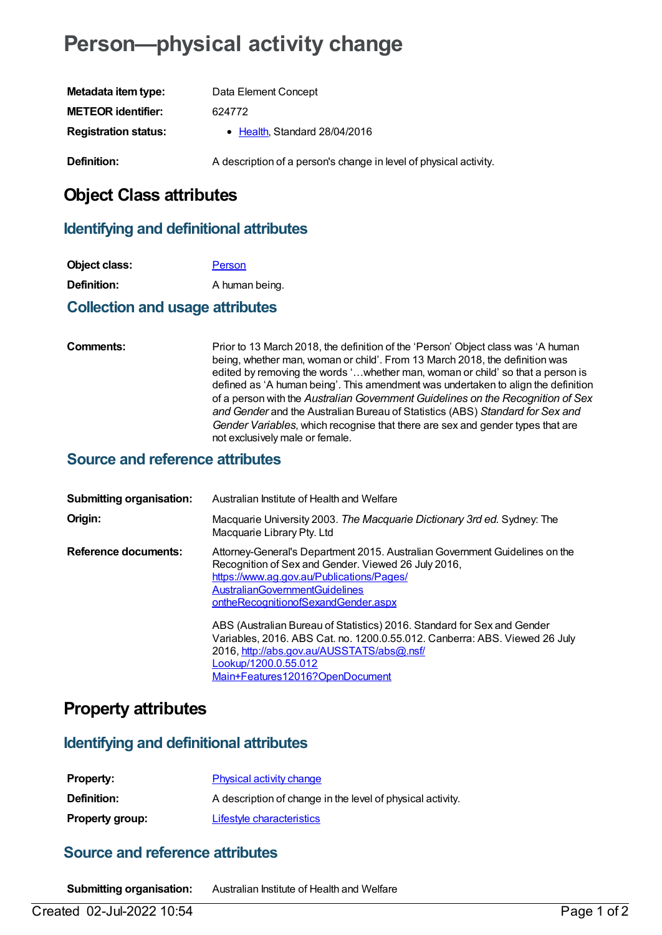# **Person—physical activity change**

| Metadata item type:         | Data Element Concept                                              |
|-----------------------------|-------------------------------------------------------------------|
| <b>METEOR identifier:</b>   | 624772                                                            |
| <b>Registration status:</b> | • Health, Standard 28/04/2016                                     |
| Definition:                 | A description of a person's change in level of physical activity. |

# **Object Class attributes**

#### **Identifying and definitional attributes**

| Object class:      | Person         |
|--------------------|----------------|
| <b>Definition:</b> | A human being. |

#### **Collection and usage attributes**

**Comments:** Prior to 13 March 2018, the definition of the 'Person' Object class was 'A human being, whether man, woman or child'. From 13 March 2018, the definition was edited by removing the words '…whether man, woman or child' so that a person is defined as 'A human being'. This amendment was undertaken to align the definition of a person with the *Australian Government Guidelines on the Recognition of Sex and Gender* and the Australian Bureau of Statistics (ABS) *Standard for Sex and Gender Variables*, which recognise that there are sex and gender types that are not exclusively male or female.

#### **Source and reference attributes**

| <b>Submitting organisation:</b> | Australian Institute of Health and Welfare                                                                                                                                                                                                                      |
|---------------------------------|-----------------------------------------------------------------------------------------------------------------------------------------------------------------------------------------------------------------------------------------------------------------|
| Origin:                         | Macquarie University 2003. The Macquarie Dictionary 3rd ed. Sydney: The<br>Macquarie Library Pty. Ltd                                                                                                                                                           |
| Reference documents:            | Attorney-General's Department 2015. Australian Government Guidelines on the<br>Recognition of Sex and Gender. Viewed 26 July 2016,<br>https://www.ag.gov.au/Publications/Pages/<br><b>AustralianGovernmentGuidelines</b><br>ontheRecognitionofSexandGender.aspx |
|                                 | ABS (Australian Bureau of Statistics) 2016. Standard for Sex and Gender<br>Variables, 2016. ABS Cat. no. 1200.0.55.012. Canberra: ABS. Viewed 26 July<br>2016, http://abs.gov.au/AUSSTATS/abs@.nsf/<br>Lookup/1200.0.55.012<br>Main+Features12016?OpenDocument  |

## **Property attributes**

#### **Identifying and definitional attributes**

| <b>Property:</b>       | <b>Physical activity change</b>                            |
|------------------------|------------------------------------------------------------|
| <b>Definition:</b>     | A description of change in the level of physical activity. |
| <b>Property group:</b> | Lifestyle characteristics                                  |

## **Source and reference attributes**

**Submitting organisation:** Australian Institute of Health and Welfare